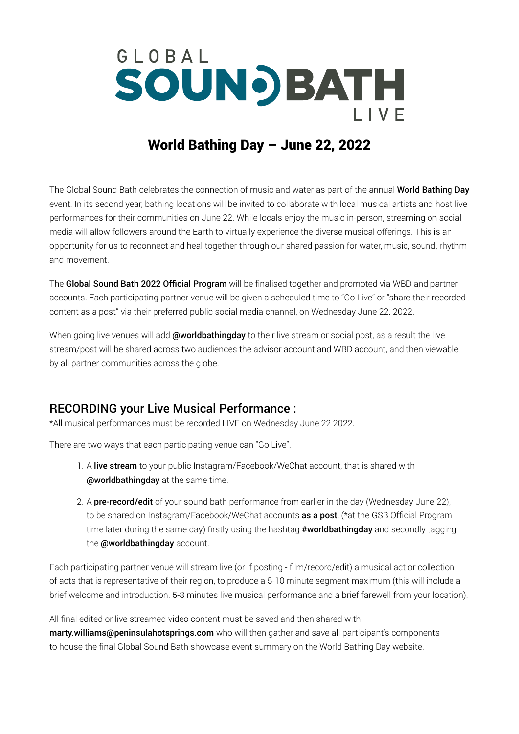## GLOBAL **SOUNDBATH**  $I$   $V$   $F$

## World Bathing Day – June 22, 2022

The Global Sound Bath celebrates the connection of music and water as part of the annual World Bathing Day event. In its second year, bathing locations will be invited to collaborate with local musical artists and host live performances for their communities on June 22. While locals enjoy the music in-person, streaming on social media will allow followers around the Earth to virtually experience the diverse musical offerings. This is an opportunity for us to reconnect and heal together through our shared passion for water, music, sound, rhythm and movement.

The Global Sound Bath 2022 Official Program will be finalised together and promoted via WBD and partner accounts. Each participating partner venue will be given a scheduled time to "Go Live" or "share their recorded content as a post" via their preferred public social media channel, on Wednesday June 22. 2022.

When going live venues will add @worldbathingday to their live stream or social post, as a result the live stream/post will be shared across two audiences the advisor account and WBD account, and then viewable by all partner communities across the globe.

## RECORDING your Live Musical Performance :

\*All musical performances must be recorded LIVE on Wednesday June 22 2022.

There are two ways that each participating venue can "Go Live".

- 1. A live stream to your public Instagram/Facebook/WeChat account, that is shared with @worldbathingday at the same time.
- 2. A **pre-record/edit** of your sound bath performance from earlier in the day (Wednesday June 22), to be shared on Instagram/Facebook/WeChat accounts as a post, (\*at the GSB Official Program time later during the same day) firstly using the hashtag #worldbathingday and secondly tagging the @worldbathingday account.

Each participating partner venue will stream live (or if posting - film/record/edit) a musical act or collection of acts that is representative of their region, to produce a 5-10 minute segment maximum (this will include a brief welcome and introduction. 5-8 minutes live musical performance and a brief farewell from your location).

All final edited or live streamed video content must be saved and then shared with [marty.williams@peninsulahotsprings.com](mailto:marty.williams%40peninsulahotsprings.com%20?subject=Global%20Soundbath%20Live) who will then gather and save all participant's components to house the final Global Sound Bath showcase event summary on the World Bathing Day website.